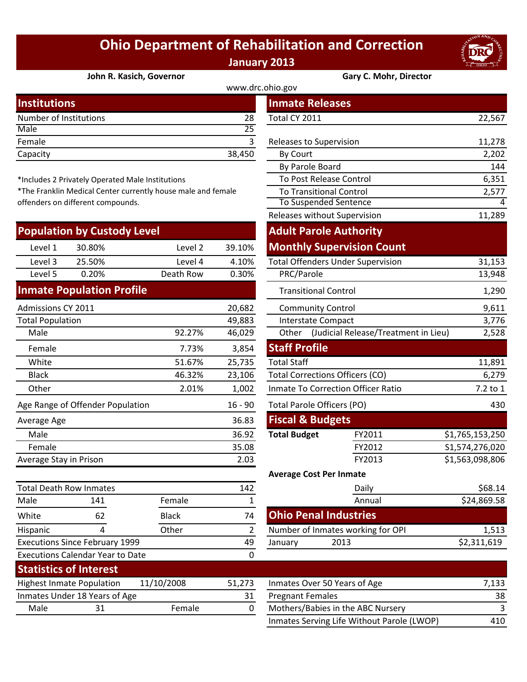## **Ohio Department of Rehabilitation and Correction January 2013**



## **[John R. Kasich, Governor](http://www.drc.ohio.gov/) Gary C. Mohr, Director**

|        | <b>Inmate Releases</b>  |        |  |
|--------|-------------------------|--------|--|
| 28     | Total CY 2011           | 22,567 |  |
| 25     |                         |        |  |
|        | Releases to Supervision | 11,278 |  |
| 38,450 | By Court                | 2,202  |  |
|        |                         |        |  |

\*Includes 2 Privately Operated Male Institutions

\*The Franklin Medical Center currently house male and female offenders on different compounds.

|                                               | <b>Population by Custody Level</b> |                                   |        | <b>Adult Parole Authority</b>              |                                  |                 |
|-----------------------------------------------|------------------------------------|-----------------------------------|--------|--------------------------------------------|----------------------------------|-----------------|
| Level 1                                       | 30.80%                             | Level 2                           | 39.10% |                                            | <b>Monthly Supervision Count</b> |                 |
| Level 3                                       | 25.50%                             | Level 4                           | 4.10%  | <b>Total Offenders Under Supervision</b>   |                                  | 31,153          |
| Level 5                                       | 0.20%                              | Death Row                         | 0.30%  | PRC/Parole                                 |                                  | 13,948          |
|                                               | <b>Inmate Population Profile</b>   |                                   |        | <b>Transitional Control</b>                |                                  | 1,290           |
| Admissions CY 2011                            |                                    |                                   | 20,682 | <b>Community Control</b>                   |                                  | 9,611           |
| <b>Total Population</b>                       |                                    |                                   | 49,883 | <b>Interstate Compact</b>                  |                                  | 3,776           |
| Male                                          |                                    | 92.27%                            | 46,029 | Other (Judicial Release/Treatment in Lieu) |                                  | 2,528           |
| Female                                        |                                    | 7.73%                             | 3,854  | <b>Staff Profile</b>                       |                                  |                 |
| White                                         |                                    | 51.67%                            | 25,735 | <b>Total Staff</b>                         |                                  | 11,891          |
| <b>Black</b>                                  |                                    | 46.32%                            | 23,106 | Total Corrections Officers (CO)            |                                  | 6,279           |
| Other                                         |                                    | 2.01%                             | 1,002  | Inmate To Correction Officer Ratio         |                                  | 7.2 to 1        |
| Age Range of Offender Population<br>$16 - 90$ |                                    | <b>Total Parole Officers (PO)</b> |        | 430                                        |                                  |                 |
| Average Age                                   |                                    |                                   | 36.83  | <b>Fiscal &amp; Budgets</b>                |                                  |                 |
| Male                                          |                                    |                                   | 36.92  | <b>Total Budget</b>                        | FY2011                           | \$1,765,153,250 |
| Female                                        |                                    |                                   | 35.08  |                                            | FY2012                           | S1,574,276,020  |
| Average Stay in Prison                        |                                    |                                   | 2.03   |                                            | FY2013                           | \$1,563,098,806 |
|                                               |                                    |                                   |        | <b>Average Cost Per Inmate</b>             |                                  |                 |
| <b>Total Death Row Inmates</b>                |                                    |                                   | 142    |                                            | Daily                            | \$68.14         |

| Male                                    | 141                                   | Female       |        |                         | Annual                       |
|-----------------------------------------|---------------------------------------|--------------|--------|-------------------------|------------------------------|
| White                                   | 62                                    | <b>Black</b> | 74     |                         | <b>Ohio Penal Industries</b> |
| Hispanic                                |                                       | Other        | 2      |                         | Number of Inmates working f  |
|                                         | <b>Executions Since February 1999</b> |              | 49     | January                 | 2013                         |
| <b>Executions Calendar Year to Date</b> |                                       |              | 0      |                         |                              |
| <b>Statistics of Interest</b>           |                                       |              |        |                         |                              |
|                                         | <b>Highest Inmate Population</b>      | 11/10/2008   | 51,273 |                         | Inmates Over 50 Years of Age |
|                                         | Inmates Under 18 Years of Age         |              | 31     | <b>Pregnant Females</b> |                              |
| Male                                    | 31                                    | Female       | 0      |                         | Mothers/Babies in the ABC N  |
|                                         |                                       |              |        |                         |                              |

|                                                           |              |                | www.drc.ohio.gov                          |                                            |                 |
|-----------------------------------------------------------|--------------|----------------|-------------------------------------------|--------------------------------------------|-----------------|
| stitutions                                                |              |                |                                           | <b>Inmate Releases</b>                     |                 |
| mber of Institutions                                      |              | 28             | Total CY 2011                             |                                            | 22,567          |
| le                                                        |              | 25             |                                           |                                            |                 |
| nale                                                      |              | $\overline{3}$ |                                           | Releases to Supervision                    | 11,278          |
| acity                                                     |              | 38,450         | By Court                                  |                                            | 2,202           |
|                                                           |              |                |                                           | By Parole Board                            | 144             |
| cludes 2 Privately Operated Male Institutions             |              |                |                                           | To Post Release Control                    | 6,351           |
| e Franklin Medical Center currently house male and female |              |                | <b>To Transitional Control</b>            | 2,577                                      |                 |
| nders on different compounds.                             |              |                |                                           | <b>To Suspended Sentence</b>               | 4               |
|                                                           |              |                |                                           | Releases without Supervision               | 11,289          |
| pulation by Custody Level                                 |              |                |                                           | <b>Adult Parole Authority</b>              |                 |
| Level 1<br>30.80%                                         | Level 2      | 39.10%         |                                           | <b>Monthly Supervision Count</b>           |                 |
| Level 3<br>25.50%                                         | Level 4      | 4.10%          |                                           | <b>Total Offenders Under Supervision</b>   | 31,153          |
| Level 5<br>0.20%                                          | Death Row    | 0.30%          | PRC/Parole                                |                                            | 13,948          |
| mate Population Profile                                   |              |                |                                           | <b>Transitional Control</b>                | 1,290           |
| nissions CY 2011                                          |              | 20,682         |                                           | <b>Community Control</b>                   | 9,611           |
| al Population                                             |              | 49,883         |                                           | <b>Interstate Compact</b>                  | 3,776           |
| Male                                                      | 92.27%       | 46,029         |                                           | Other (Judicial Release/Treatment in Lieu) | 2,528           |
| Female                                                    | 7.73%        | 3,854          | <b>Staff Profile</b>                      |                                            |                 |
| White                                                     | 51.67%       | 25,735         | <b>Total Staff</b>                        |                                            | 11,891          |
| <b>Black</b>                                              | 46.32%       | 23,106         |                                           | <b>Total Corrections Officers (CO)</b>     | 6,279           |
| <b>Other</b>                                              | 2.01%        | 1,002          | <b>Inmate To Correction Officer Ratio</b> |                                            | 7.2 to 1        |
| <b>Range of Offender Population</b>                       |              | $16 - 90$      | Total Parole Officers (PO)<br>430         |                                            |                 |
| erage Age                                                 |              | 36.83          |                                           | <b>Fiscal &amp; Budgets</b>                |                 |
| Male                                                      |              | 36.92          | <b>Total Budget</b>                       | FY2011                                     | \$1,765,153,250 |
| Female                                                    |              | 35.08          |                                           | FY2012                                     | S1,574,276,020  |
| <b>Prage Stay in Prison</b>                               |              | 2.03           |                                           | FY2013                                     | \$1,563,098,806 |
|                                                           |              |                |                                           | <b>Average Cost Per Inmate</b>             |                 |
| al Death Row Inmates                                      |              | 142            |                                           | Daily                                      | \$68.14         |
| le<br>141                                                 | Female       | $\mathbf{1}$   |                                           | Annual                                     | \$24,869.58     |
| 62<br>ite                                                 | <b>Black</b> | 74             |                                           | <b>Ohio Penal Industries</b>               |                 |
| panic<br>4                                                | Other        | $\overline{2}$ |                                           | Number of Inmates working for OPI          | 1,513           |
| cutions Since February 1999                               |              | 49             | January                                   | 2013                                       | \$2,311,619     |
| cutions Calendar Year to Date                             |              | 0              |                                           |                                            |                 |
| tictics of Intoract                                       |              |                |                                           |                                            |                 |

|      | <b>Highest Inmate Population</b> | 11/10/2008 | 51.273 | Inmates Over 50 Years of Age               | 7,133 |
|------|----------------------------------|------------|--------|--------------------------------------------|-------|
|      | Inmates Under 18 Years of Age    |            |        | <b>Pregnant Females</b>                    | 38    |
| Male |                                  | Female     |        | Mothers/Babies in the ABC Nursery          |       |
|      |                                  |            |        | Inmates Serving Life Without Parole (LWOP) | 410   |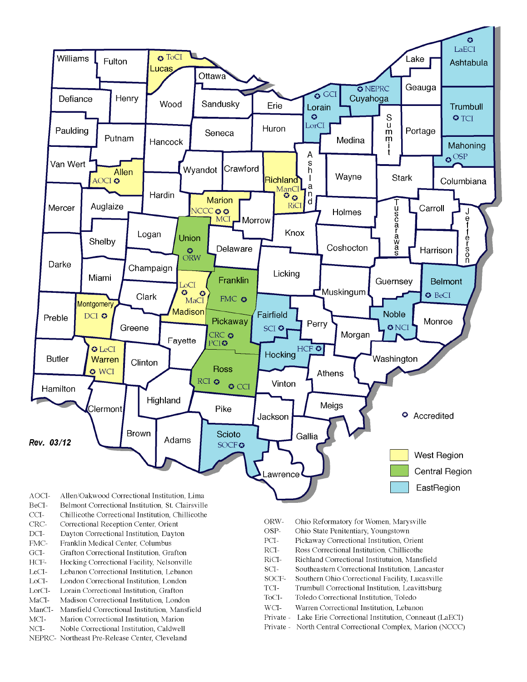

- BeCI-Belmont Correctional Institution, St. Clairsville
- $CCI-$ Chillicothe Correctional Institution, Chillicothe
- Correctional Reception Center, Orient CRC-
- $DCI-$ Dayton Correctional Institution, Dayton
- FMC-Franklin Medical Center, Columbus
- $\rm{GCI}\mbox{-}$ Grafton Correctional Institution, Grafton
- HCF-Hocking Correctional Facility, Nelsonville
- LeCI-Lebanon Correctional Institution, Lebanon
- LoCI-London Correctional Institution. London
- $\operatorname{LorCl-}$ Lorain Correctional Institution, Grafton
- $MaCI-$ Madison Correctional Institution, London
- ManCI-Mansfield Correctional Institution, Mansfield MCI-Marion Correctional Institution, Marion
- Noble Correctional Institution, Caldwell
- NCI-NEPRC- Northeast Pre-Release Center, Cleveland
- ORW-Ohio Reformatory for Women, Marysville
- OSP-Ohio State Penitentiary, Youngstown
- PCI-Pickaway Correctional Institution, Orient
- $\rm RCI-$ Ross Correctional Institution, Chillicothe
- RiCI-Richland Correctional Institutuion, Mansfield
- SCI-Southeastern Correctional Institution, Lancaster
- SOCF-Southern Ohio Correctional Facility, Lucasville
- TCI-Trumbull Correctional Institution, Leavittsburg
- ToCI-Toledo Correctional Institution, Toledo
- $WCI-$ Warren Correctional Institution, Lebanon
- Private Lake Erie Correctional Institution, Conneaut (LaECI)
- Private North Central Correctional Complex, Marion (NCCC)